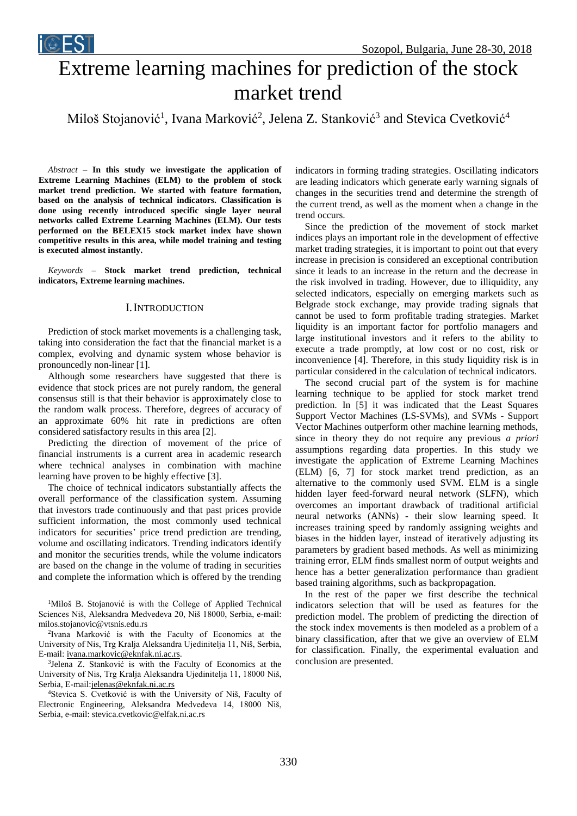

# Extreme learning machines for prediction of the stock market trend

Miloš Stojanović<sup>1</sup>, Ivana Marković<sup>2</sup>, Jelena Z. Stanković<sup>3</sup> and Stevica Cvetković<sup>4</sup>

*Abstract –* **In this study we investigate the application of Extreme Learning Machines (ELM) to the problem of stock market trend prediction. We started with feature formation, based on the analysis of technical indicators. Classification is done using recently introduced specific single layer neural networks called Extreme Learning Machines (ELM). Our tests performed on the BELEX15 stock market index have shown competitive results in this area, while model training and testing is executed almost instantly.**

*Keywords –* **Stock market trend prediction, technical indicators, Extreme learning machines.**

#### I.INTRODUCTION

Prediction of stock market movements is a challenging task, taking into consideration the fact that the financial market is a complex, evolving and dynamic system whose behavior is pronouncedly non-linear [1].

Although some researchers have suggested that there is evidence that stock prices are not purely random, the general consensus still is that their behavior is approximately close to the random walk process. Therefore, degrees of accuracy of an approximate 60% hit rate in predictions are often considered satisfactory results in this area [2].

Predicting the direction of movement of the price of financial instruments is a current area in academic research where technical analyses in combination with machine learning have proven to be highly effective [3].

The choice of technical indicators substantially affects the overall performance of the classification system. Assuming that investors trade continuously and that past prices provide sufficient information, the most commonly used technical indicators for securities' price trend prediction are trending, volume and oscillating indicators. Trending indicators identify and monitor the securities trends, while the volume indicators are based on the change in the volume of trading in securities and complete the information which is offered by the trending

<sup>1</sup>Miloš B. Stojanović is with the College of Applied Technical Sciences Niš, Aleksandra Medvedeva 20, Niš 18000, Serbia, e-mail: milos.stojanovic@vtsnis.edu.rs

2 Ivana Marković is with the Faculty of Economics at the University of Nis, Trg Kralja Aleksandra Ujedinitelja 11, Niš, Serbia, E-mail: [ivana.markovic@eknfak.ni.ac.rs.](mailto:ivana.markovic@eknfak.ni.ac.rs)

3 Jelena Z. Stanković is with the Faculty of Economics at the University of Nis, Trg Kralja Aleksandra Ujedinitelja 11, 18000 Niš, Serbia, E-mail[:jelenas@eknfak.ni.ac.rs](file:///C:/Users/Ivana/Downloads/jelenas@eknfak.ni.ac.rs)

<sup>4</sup>Stevica S. Cvetković is with the University of Niš, Faculty of Electronic Engineering, Aleksandra Medvedeva 14, 18000 Niš, Serbia, e-mail: stevica.cvetkovic@elfak.ni.ac.rs

indicators in forming trading strategies. Oscillating indicators are leading indicators which generate early warning signals of changes in the securities trend and determine the strength of the current trend, as well as the moment when a change in the trend occurs.

Since the prediction of the movement of stock market indices plays an important role in the development of effective market trading strategies, it is important to point out that every increase in precision is considered an exceptional contribution since it leads to an increase in the return and the decrease in the risk involved in trading. However, due to illiquidity, any selected indicators, especially on emerging markets such as Belgrade stock exchange, may provide trading signals that cannot be used to form profitable trading strategies. Market liquidity is an important factor for portfolio managers and large institutional investors and it refers to the ability to execute a trade promptly, at low cost or no cost, risk or inconvenience [4]. Therefore, in this study liquidity risk is in particular considered in the calculation of technical indicators.

The second crucial part of the system is for machine learning technique to be applied for stock market trend prediction. In [5] it was indicated that the Least Squares Support Vector Machines (LS-SVMs), and SVMs - Support Vector Machines outperform other machine learning methods, since in theory they do not require any previous *a priori* assumptions regarding data properties. In this study we investigate the application of Extreme Learning Machines (ELM) [6, 7] for stock market trend prediction, as an alternative to the commonly used SVM. ELM is a single hidden layer feed-forward neural network (SLFN), which overcomes an important drawback of traditional artificial neural networks (ANNs) - their slow learning speed. It increases training speed by randomly assigning weights and biases in the hidden layer, instead of iteratively adjusting its parameters by gradient based methods. As well as minimizing training error, ELM finds smallest norm of output weights and hence has a better generalization performance than gradient based training algorithms, such as backpropagation.

In the rest of the paper we first describe the technical indicators selection that will be used as features for the prediction model. The problem of predicting the direction of the stock index movements is then modeled as a problem of a binary classification, after that we give an overview of ELM for classification. Finally, the experimental evaluation and conclusion are presented.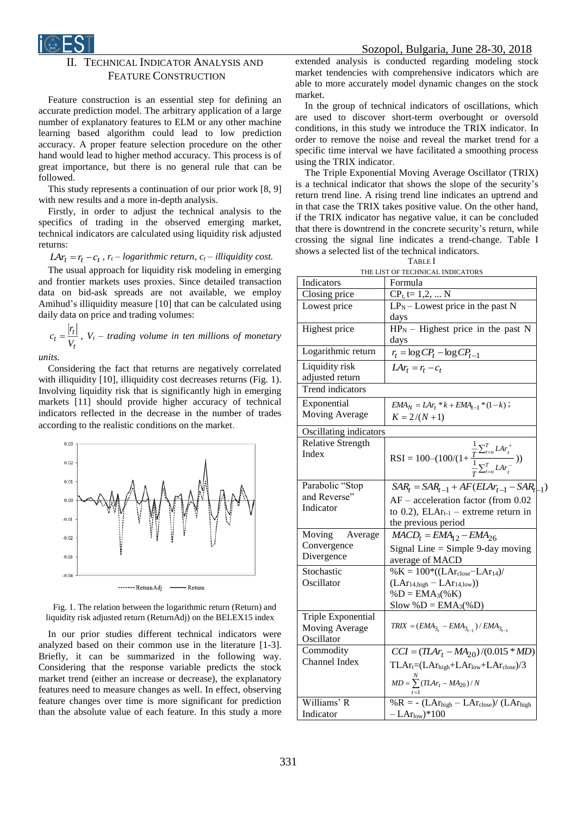

## TECHNICAL INDICATOR ANALYSIS AND FEATURE CONSTRUCTION

Feature construction is an essential step for defining an accurate prediction model. The arbitrary application of a large number of explanatory features to ELM or any other machine learning based algorithm could lead to low prediction accuracy. A proper feature selection procedure on the other hand would lead to higher method accuracy. This process is of great importance, but there is no general rule that can be followed.

This study represents a continuation of our prior work [8, 9] with new results and a more in-depth analysis.

Firstly, in order to adjust the technical analysis to the specifics of trading in the observed emerging market, technical indicators are calculated using liquidity risk adjusted returns:

*tar*<sub>t</sub> =  $r_t$  –  $c_t$ ,  $r_t$  – *logarithmic return,*  $c_t$  – *illiquidity cost.* 

The usual approach for liquidity risk modeling in emerging and frontier markets uses proxies. Since detailed transaction data on bid-ask spreads are not available, we employ Amihud's illiquidity measure [10] that can be calculated using daily data on price and trading volumes:

$$
c_t = \frac{|r_t|}{V_t}, V_t - trading \, volume \, in \, ten \, millions \, of \, monetary
$$

*units.*

*r*

Considering the fact that returns are negatively correlated with illiquidity [10], illiquidity cost decreases returns (Fig. 1). Involving liquidity risk that is significantly high in emerging markets [11] should provide higher accuracy of technical indicators reflected in the decrease in the number of trades according to the realistic conditions on the market.



Fig. 1. The relation between the logarithmic return (Return) and liquidity risk adjusted return (ReturnAdj) on the BELEX15 index

In our prior studies different technical indicators were analyzed based on their common use in the literature [1-3]. Briefly, it can be summarized in the following way. Considering that the response variable predicts the stock market trend (either an increase or decrease), the explanatory features need to measure changes as well. In effect, observing feature changes over time is more significant for prediction than the absolute value of each feature. In this study a more extended analysis is conducted regarding modeling stock market tendencies with comprehensive indicators which are able to more accurately model dynamic changes on the stock market.

In the group of technical indicators of oscillations, which are used to discover short-term overbought or oversold conditions, in this study we introduce the TRIX indicator. In order to remove the noise and reveal the market trend for a specific time interval we have facilitated a smoothing process using the TRIX indicator.

The Triple Exponential Moving Average Oscillator (TRIX) is a technical indicator that shows the slope of the security's return trend line. A rising trend line indicates an uptrend and in that case the TRIX takes positive value. On the other hand, if the TRIX indicator has negative value, it can be concluded that there is downtrend in the concrete security's return, while crossing the signal line indicates a trend-change. Table I shows a selected list of the technical indicators.

| Indicators<br>Formula<br>Closing price<br>$CP_{t}$ , t= 1,2,  N<br>$LPN$ – Lowest price in the past N<br>Lowest price<br>days<br>$\overline{HP_N}$ – Highest price in the past N<br>Highest price<br>days<br>Logarithmic return<br>$r_t = \log CP_t - \log CP_{t-1}$<br>Liquidity risk<br>$LAr_t = r_t - c_t$<br>adjusted return<br><b>Trend</b> indicators<br>Exponential<br>$EMA_N = LAr_t * k + EMA_{t-1} * (1-k);$<br>Moving Average<br>$K = 2/(N+1)$<br>Oscillating indicators<br><b>Relative Strength</b><br>RSI = 100-(100/(1+ $\frac{\frac{1}{T}\sum_{t=0}^{T} LAr_t^+}{\frac{1}{T}\sum_{t=0}^{T} LAr_t^-})$ )<br>Index<br>Parabolic "Stop<br>and Reverse"<br>$AF - acceleration factor (from 0.02)$<br>Indicator<br>to 0.2), $ELAr_{t-1}$ – extreme return in<br>the previous period<br>Moving<br>Average<br>$MACD_t = EMA_{12} - EMA_{26}$<br>Convergence<br>Signal Line = Simple 9-day moving<br>Divergence<br>average of MACD<br>Stochastic<br>$% K = 100*(LAr_{close} - LAr_{14})$<br>Oscillator<br>$(LAr14,high - LAr14,low)$<br>$%D = EMA3(%K)$<br>$Slow % D = EMA3(% D)$<br>Triple Exponential<br>$TRIX = (EMA_{3_t} - EMA_{3_{t-1}}) / EMA_{3_{t-1}}$<br>Moving Average<br>Oscillator<br>Commodity<br>$CCI = (T L A r_t - M A_{20})/(0.015 * M D)$<br>Channel Index<br>$TLAr$ <sub>t</sub> =( $LAThigh+LArlow+LArclose$ )/3 |                                  | Table I                                          |  |  |  |  |
|----------------------------------------------------------------------------------------------------------------------------------------------------------------------------------------------------------------------------------------------------------------------------------------------------------------------------------------------------------------------------------------------------------------------------------------------------------------------------------------------------------------------------------------------------------------------------------------------------------------------------------------------------------------------------------------------------------------------------------------------------------------------------------------------------------------------------------------------------------------------------------------------------------------------------------------------------------------------------------------------------------------------------------------------------------------------------------------------------------------------------------------------------------------------------------------------------------------------------------------------------------------------------------------------------------------------------------------------|----------------------------------|--------------------------------------------------|--|--|--|--|
|                                                                                                                                                                                                                                                                                                                                                                                                                                                                                                                                                                                                                                                                                                                                                                                                                                                                                                                                                                                                                                                                                                                                                                                                                                                                                                                                              | THE LIST OF TECHNICAL INDICATORS |                                                  |  |  |  |  |
|                                                                                                                                                                                                                                                                                                                                                                                                                                                                                                                                                                                                                                                                                                                                                                                                                                                                                                                                                                                                                                                                                                                                                                                                                                                                                                                                              |                                  |                                                  |  |  |  |  |
|                                                                                                                                                                                                                                                                                                                                                                                                                                                                                                                                                                                                                                                                                                                                                                                                                                                                                                                                                                                                                                                                                                                                                                                                                                                                                                                                              |                                  |                                                  |  |  |  |  |
|                                                                                                                                                                                                                                                                                                                                                                                                                                                                                                                                                                                                                                                                                                                                                                                                                                                                                                                                                                                                                                                                                                                                                                                                                                                                                                                                              |                                  |                                                  |  |  |  |  |
|                                                                                                                                                                                                                                                                                                                                                                                                                                                                                                                                                                                                                                                                                                                                                                                                                                                                                                                                                                                                                                                                                                                                                                                                                                                                                                                                              |                                  |                                                  |  |  |  |  |
|                                                                                                                                                                                                                                                                                                                                                                                                                                                                                                                                                                                                                                                                                                                                                                                                                                                                                                                                                                                                                                                                                                                                                                                                                                                                                                                                              |                                  |                                                  |  |  |  |  |
|                                                                                                                                                                                                                                                                                                                                                                                                                                                                                                                                                                                                                                                                                                                                                                                                                                                                                                                                                                                                                                                                                                                                                                                                                                                                                                                                              |                                  |                                                  |  |  |  |  |
|                                                                                                                                                                                                                                                                                                                                                                                                                                                                                                                                                                                                                                                                                                                                                                                                                                                                                                                                                                                                                                                                                                                                                                                                                                                                                                                                              |                                  |                                                  |  |  |  |  |
|                                                                                                                                                                                                                                                                                                                                                                                                                                                                                                                                                                                                                                                                                                                                                                                                                                                                                                                                                                                                                                                                                                                                                                                                                                                                                                                                              |                                  |                                                  |  |  |  |  |
|                                                                                                                                                                                                                                                                                                                                                                                                                                                                                                                                                                                                                                                                                                                                                                                                                                                                                                                                                                                                                                                                                                                                                                                                                                                                                                                                              |                                  |                                                  |  |  |  |  |
|                                                                                                                                                                                                                                                                                                                                                                                                                                                                                                                                                                                                                                                                                                                                                                                                                                                                                                                                                                                                                                                                                                                                                                                                                                                                                                                                              |                                  |                                                  |  |  |  |  |
|                                                                                                                                                                                                                                                                                                                                                                                                                                                                                                                                                                                                                                                                                                                                                                                                                                                                                                                                                                                                                                                                                                                                                                                                                                                                                                                                              |                                  | $SAR_t = SAR_{t-1} + AF(ELAr_{t-1} - SAR_{t-1})$ |  |  |  |  |
|                                                                                                                                                                                                                                                                                                                                                                                                                                                                                                                                                                                                                                                                                                                                                                                                                                                                                                                                                                                                                                                                                                                                                                                                                                                                                                                                              |                                  |                                                  |  |  |  |  |
|                                                                                                                                                                                                                                                                                                                                                                                                                                                                                                                                                                                                                                                                                                                                                                                                                                                                                                                                                                                                                                                                                                                                                                                                                                                                                                                                              |                                  |                                                  |  |  |  |  |
|                                                                                                                                                                                                                                                                                                                                                                                                                                                                                                                                                                                                                                                                                                                                                                                                                                                                                                                                                                                                                                                                                                                                                                                                                                                                                                                                              |                                  |                                                  |  |  |  |  |
|                                                                                                                                                                                                                                                                                                                                                                                                                                                                                                                                                                                                                                                                                                                                                                                                                                                                                                                                                                                                                                                                                                                                                                                                                                                                                                                                              |                                  | $MD = \sum_{1}^{N} (TLAr_t - MA_{20}) / N$       |  |  |  |  |
| $%R = - (LAr_{high} - LAr_{close}) / (LAr_{high})$<br>Williams' R<br>Indicator<br>$-LAr_{low}$ <sup>*</sup> 100                                                                                                                                                                                                                                                                                                                                                                                                                                                                                                                                                                                                                                                                                                                                                                                                                                                                                                                                                                                                                                                                                                                                                                                                                              |                                  |                                                  |  |  |  |  |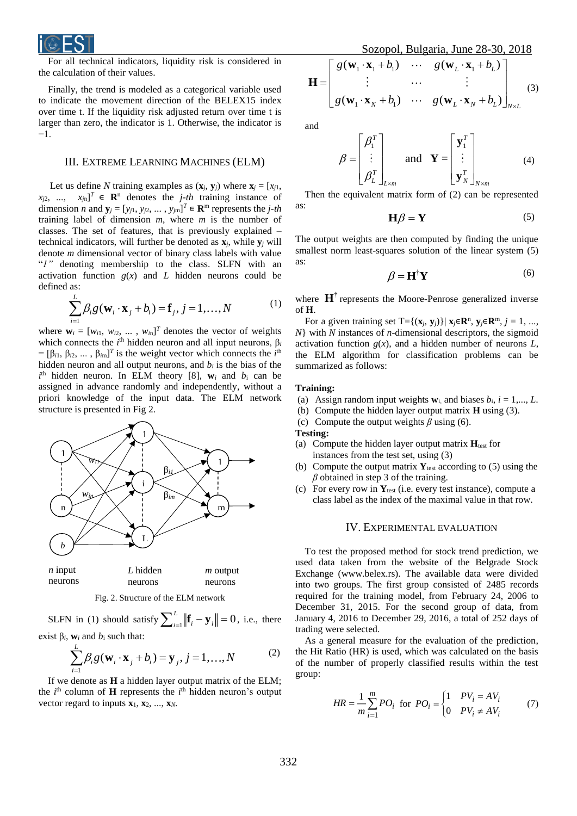

For all technical indicators, liquidity risk is considered in the calculation of their values.

Finally, the trend is modeled as a categorical variable used to indicate the movement direction of the BELEX15 index over time t. If the liquidity risk adjusted return over time t is larger than zero, the indicator is 1. Otherwise, the indicator is −1.

#### III. EXTREME LEARNING MACHINES (ELM)

Let us define *N* training examples as  $(\mathbf{x}_i, \mathbf{y}_i)$  where  $\mathbf{x}_i = [x_i]$ ,  $x_{j2}$ , ...,  $x_{jn}$ <sup>T</sup> ∈ **R**<sup>n</sup> denotes the *j-th* training instance of dimension *n* and  $\mathbf{y}_j = [y_{j1}, y_{j2}, \dots, y_{jm}]^T \in \mathbb{R}^m$  represents the *j*-th training label of dimension *m*, where *m* is the number of classes. The set of features, that is previously explained – technical indicators, will further be denoted as  $\mathbf{x}_i$ , while  $\mathbf{y}_i$  will denote *m* dimensional vector of binary class labels with value "*1"* denoting membership to the class. SLFN with an activation function  $g(x)$  and *L* hidden neurons could be defined as:

$$
\sum_{i=1}^{L} \beta_i g(\mathbf{w}_i \cdot \mathbf{x}_j + b_i) = \mathbf{f}_j, j = 1, ..., N
$$
 (1)

where  $\mathbf{w}_i = [w_{i1}, w_{i2}, \dots, w_{in}]^T$  denotes the vector of weights which connects the  $i^{\text{th}}$  hidden neuron and all input neurons,  $\beta_i$  $=[\beta_{i1}, \beta_{i2}, \dots, \beta_{im}]^T$  is the weight vector which connects the *i*<sup>th</sup> hidden neuron and all output neurons, and  $b_i$  is the bias of the  $i^{\text{th}}$  hidden neuron. In ELM theory [8],  $w_i$  and  $b_i$  can be assigned in advance randomly and independently, without a priori knowledge of the input data. The ELM network structure is presented in Fig 2.



neurons *L* hidden neurons *m* output neurons

Fig. 2. Structure of the ELM network

SLFN in (1) should satisfy  $\sum_{i=1}^{L} ||\mathbf{f}_i - \mathbf{y}_i|| = 0$ , i.e., there exist β*i*, **w***<sup>i</sup>* and *b*<sup>i</sup> such that:

exists 
$$
p_i
$$
,  $w_i$  and  $v_i$  such that.

$$
\sum_{i=1}^{K} \beta_i g(\mathbf{w}_i \cdot \mathbf{x}_j + b_i) = \mathbf{y}_j, j = 1, ..., N
$$
 (2)

If we denote as **H** a hidden layer output matrix of the ELM; the  $i^{\text{th}}$  column of **H** represents the  $i^{\text{th}}$  hidden neuron's output vector regard to inputs **x**1, **x**2, ..., **x***N*.

Sozopol, Bulgaria, June 28-30,

$$
\mathbf{H} = \begin{bmatrix} g(\mathbf{w}_1 \cdot \mathbf{x}_1 + b_1) & \cdots & g(\mathbf{w}_L \cdot \mathbf{x}_1 + b_L) \\ \vdots & \cdots & \vdots \\ g(\mathbf{w}_1 \cdot \mathbf{x}_N + b_1) & \cdots & g(\mathbf{w}_L \cdot \mathbf{x}_N + b_L) \end{bmatrix}_{N \times L}
$$
 (3)

and

$$
\beta = \begin{bmatrix} \beta_1^T \\ \vdots \\ \beta_L^T \end{bmatrix}_{L \times m} \quad \text{and} \quad \mathbf{Y} = \begin{bmatrix} \mathbf{y}_1^T \\ \vdots \\ \mathbf{y}_N^T \end{bmatrix}_{N \times m}
$$
 (4)

Then the equivalent matrix form of (2) can be represented as:

$$
\mathbf{H}\boldsymbol{\beta} = \mathbf{Y} \tag{5}
$$

The output weights are then computed by finding the unique smallest norm least-squares solution of the linear system  $(5)$ as:

$$
\beta = \mathbf{H}^{\dagger} \mathbf{Y} \tag{6}
$$

where  $\mathbf{H}^{\dagger}$  represents the Moore-Penrose generalized inverse of **H**.

For a given training set  $T = \{(\mathbf{x}_j, \mathbf{y}_j)\} | \mathbf{x}_j \in \mathbb{R}^n, \mathbf{y}_j \in \mathbb{R}^m, j = 1, ...,$ *N*} with *N* instances of *n*-dimensional descriptors, the sigmoid activation function  $g(x)$ , and a hidden number of neurons  $L$ , the ELM algorithm for classification problems can be summarized as follows:

#### **Training:**

- (a) Assign random input weights  $w_i$ , and biases  $b_i$ ,  $i = 1,..., L$ .
- (b) Compute the hidden layer output matrix **H** using (3).
- (c) Compute the output weights  $\beta$  using (6).

**Testing:**

- (a) Compute the hidden layer output matrix  $H_{test}$  for instances from the test set, using (3)
- (b) Compute the output matrix  $Y_{test}$  according to (5) using the *β* obtained in step 3 of the training.
- (c) For every row in **Y**test (i.e. every test instance), compute a class label as the index of the maximal value in that row.

#### IV. EXPERIMENTAL EVALUATION

To test the proposed method for stock trend prediction, we used data taken from the website of the Belgrade Stock Exchange (www.belex.rs). The available data were divided into two groups. The first group consisted of 2485 records required for the training model, from February 24, 2006 to December 31, 2015. For the second group of data, from January 4, 2016 to December 29, 2016, a total of 252 days of trading were selected.

As a general measure for the evaluation of the prediction, the Hit Ratio (HR) is used, which was calculated on the basis of the number of properly classified results within the test group:

$$
HR = \frac{1}{m} \sum_{i=1}^{m} PO_i \text{ for } PO_i = \begin{cases} 1 & PV_i = AV_i \\ 0 & PV_i \neq AV_i \end{cases}
$$
 (7)